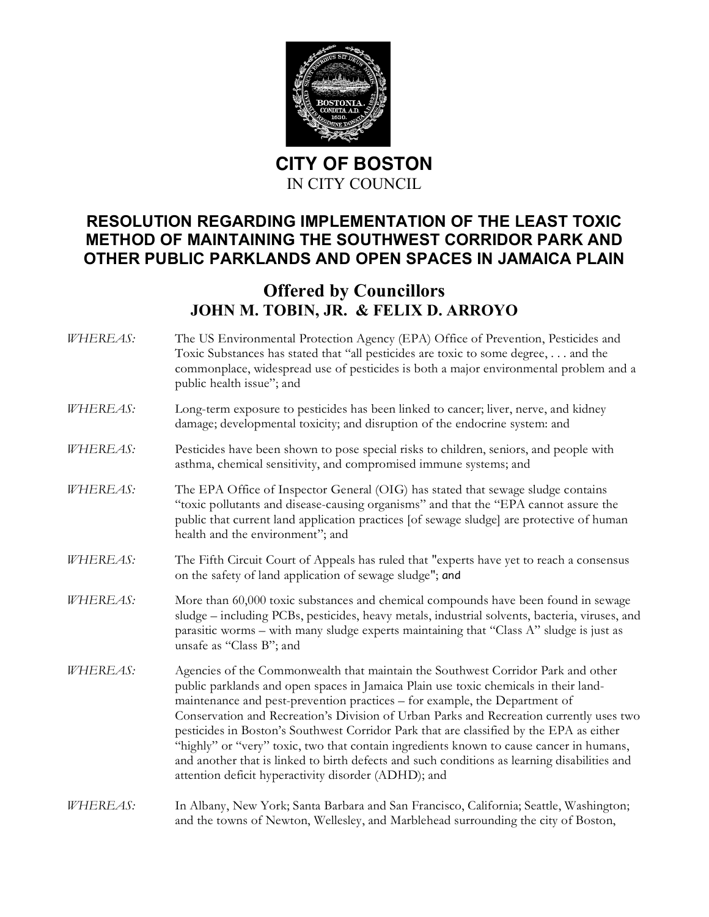

**CITY OF BOSTON** IN CITY COUNCIL

## **RESOLUTION REGARDING IMPLEMENTATION OF THE LEAST TOXIC METHOD OF MAINTAINING THE SOUTHWEST CORRIDOR PARK AND OTHER PUBLIC PARKLANDS AND OPEN SPACES IN JAMAICA PLAIN**

## **Offered by Councillors JOHN M. TOBIN, JR. & FELIX D. ARROYO**

*WHEREAS:* The US Environmental Protection Agency (EPA) Office of Prevention, Pesticides and Toxic Substances has stated that "all pesticides are toxic to some degree, . . . and the commonplace, widespread use of pesticides is both a major environmental problem and a public health issue"; and *WHEREAS:* Long-term exposure to pesticides has been linked to cancer; liver, nerve, and kidney damage; developmental toxicity; and disruption of the endocrine system: and *WHEREAS:* Pesticides have been shown to pose special risks to children, seniors, and people with asthma, chemical sensitivity, and compromised immune systems; and *WHEREAS:* The EPA Office of Inspector General (OIG) has stated that sewage sludge contains "toxic pollutants and disease-causing organisms" and that the "EPA cannot assure the public that current land application practices [of sewage sludge] are protective of human health and the environment"; and *WHEREAS:* The Fifth Circuit Court of Appeals has ruled that "experts have yet to reach a consensus on the safety of land application of sewage sludge"; and *WHEREAS:* More than 60,000 toxic substances and chemical compounds have been found in sewage sludge – including PCBs, pesticides, heavy metals, industrial solvents, bacteria, viruses, and parasitic worms – with many sludge experts maintaining that "Class A" sludge is just as unsafe as "Class B"; and *WHEREAS:* Agencies of the Commonwealth that maintain the Southwest Corridor Park and other public parklands and open spaces in Jamaica Plain use toxic chemicals in their landmaintenance and pest-prevention practices – for example, the Department of Conservation and Recreation's Division of Urban Parks and Recreation currently uses two pesticides in Boston's Southwest Corridor Park that are classified by the EPA as either "highly" or "very" toxic, two that contain ingredients known to cause cancer in humans, and another that is linked to birth defects and such conditions as learning disabilities and attention deficit hyperactivity disorder (ADHD); and *WHEREAS:* In Albany, New York; Santa Barbara and San Francisco, California; Seattle, Washington; and the towns of Newton, Wellesley, and Marblehead surrounding the city of Boston,